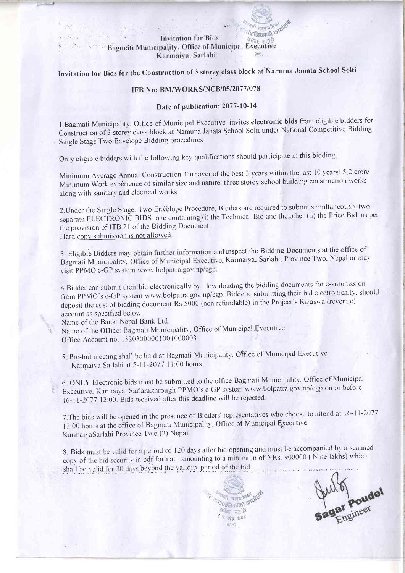## **Invitation for Bids**

#### केमेया स Bagmati Municipality, Office of Municipal Executive Karmaiya, Sarlahi

Invitation for Bids for the Construction of 3 storey class block at Namuna Janata School Solti

ग्यालिकाको कार्य

# **IFB No: BM/WORKS/NCB/05/2077/078**

## Date of publication: 2077-10-14

1. Bagmati Municipality. Office of Municipal Executive invites electronic bids from eligible bidders for Construction of 3 storey class block at Namuna Janata School Solti under National Competitive Bidding -Single Stage Two Envelope Bidding procedures.

Only eligible bidders with the following key qualifications should participate in this bidding:

Minimum Average Annual Construction Turnover of the best 3 years within the last 10 years: 5.2 crore Minimum Work experience of similar size and nature: three storey school building construction works along with sanitary and elecrical works

2. Under the Single Stage, Two Envelope Procedure, Bidders are required to submit simultaneously two separate ELECTRONIC BIDS one containing (i) the Technical Bid and the other (ii) the Price Bid as per the provision of ITB 21 of the Bidding Document. Hard copy submission is not allowed.

3. Eligible Bidders may obtain further information and inspect the Bidding Documents at the office of Bagmati Municipality, Office of Municipal Executive, Karmaiya, Sarlahi, Province Two, Nepal or may visit PPMO e-GP system www.bolpatra.gov.np/egp.

4. Bidder can submit their bid electronically by downloading the bidding documents for e-submission from PPMO's e-GP system www.bolpatra.gov.np/egp. Bidders, submitting their bid electronically, should deposit the cost of bidding document Rs.5000 (non refundable) in the Project's Rajaswa (revenue) account as specified below:

Name of the Bank: Nepal Bank Ltd. Name of the Office: Bagmati Municipality, Office of Municipal Executive Office Account no: 13203000001001000003

5. Pre-bid meeting shall be held at Bagmati Municipality, Office of Municipal Executive Karmaiya Sarlahi at 5-11-2077 11:00 hours.

6. ONLY Electronic bids must be submitted to the office Bagmati Municipality, Office of Municipal Executive. Karmaiya. Sarlahi through PPMO's e-GP system www.bolpatra.gov.np/egp on or before 16-11-2077 12:00. Bids received after this deadline will be rejected.

7. The bids will be opened in the presence of Bidders' representatives who choose to attend at 16-11-2077 13:00 hours at the office of Bagmati Municipality. Office of Municipal Executive KarmaivaSarlahi Province Two (2) Nepal.

8. Bids must be valid for a period of 120 days after bid opening and must be accompanied by a scanned copy of the bid security in pdf format, amounting to a minimum of NRs. 900000 (Nine lakhs) which shall be valid for 30 days beyond the validity period of the bid.

> **The ampullet** *Authority of the* करीबा सताही Rear invest **Diftiell**